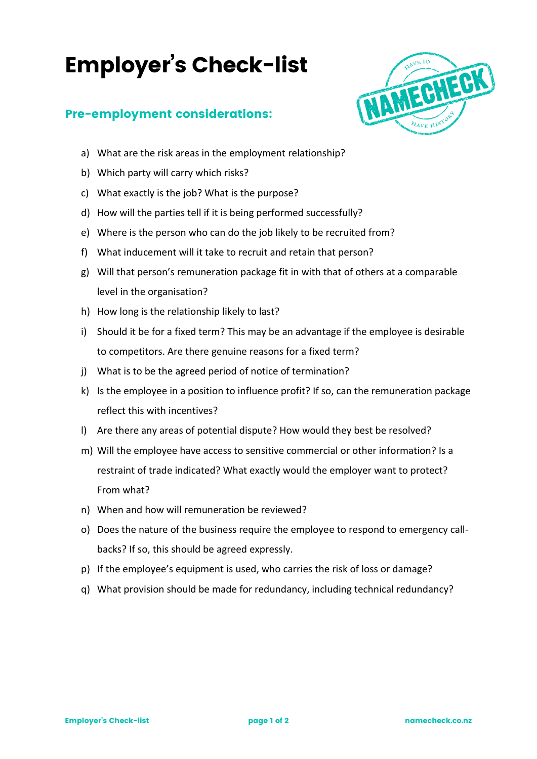## Employer's Check-list

## Pre-employment considerations:



- a) What are the risk areas in the employment relationship?
- b) Which party will carry which risks?
- c) What exactly is the job? What is the purpose?
- d) How will the parties tell if it is being performed successfully?
- e) Where is the person who can do the job likely to be recruited from?
- f) What inducement will it take to recruit and retain that person?
- g) Will that person's remuneration package fit in with that of others at a comparable level in the organisation?
- h) How long is the relationship likely to last?
- i) Should it be for a fixed term? This may be an advantage if the employee is desirable to competitors. Are there genuine reasons for a fixed term?
- j) What is to be the agreed period of notice of termination?
- k) Is the employee in a position to influence profit? If so, can the remuneration package reflect this with incentives?
- l) Are there any areas of potential dispute? How would they best be resolved?
- m) Will the employee have access to sensitive commercial or other information? Is a restraint of trade indicated? What exactly would the employer want to protect? From what?
- n) When and how will remuneration be reviewed?
- o) Does the nature of the business require the employee to respond to emergency callbacks? If so, this should be agreed expressly.
- p) If the employee's equipment is used, who carries the risk of loss or damage?
- q) What provision should be made for redundancy, including technical redundancy?